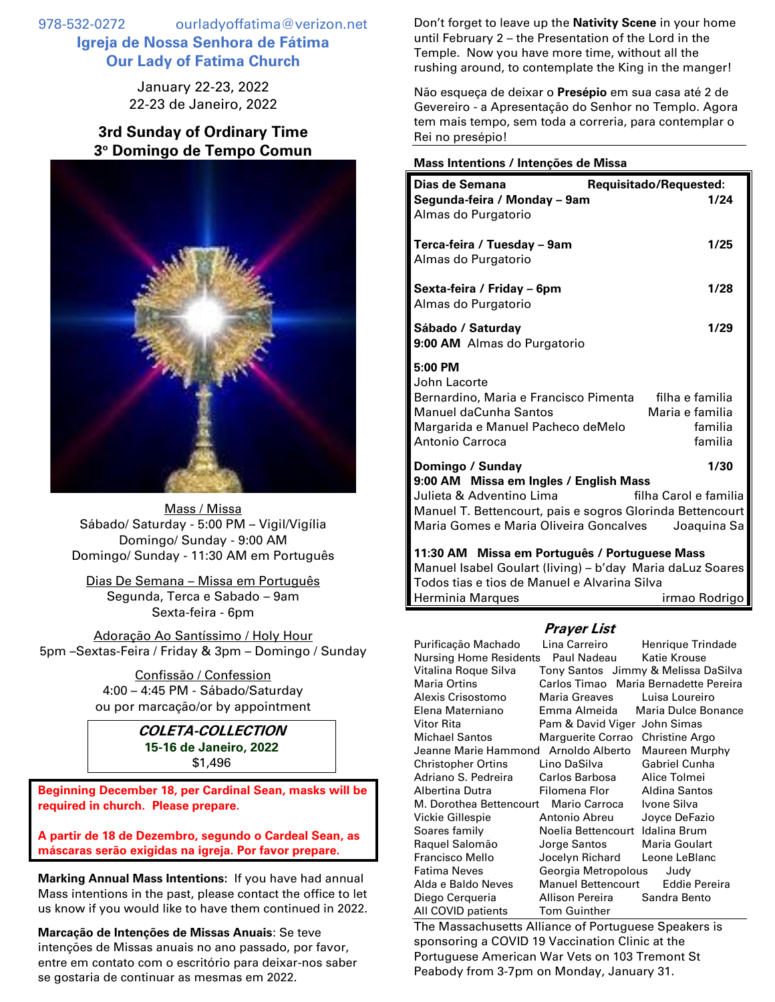978-532-0272 ourladyoffatima@verizon.net **Igreja de Nossa Senhora de Fátima Our Lady of Fatima Church**

> January 22-23, 2022 22-23 de Janeiro, 2022

## **3rd Sunday of Ordinary Time 3 <sup>o</sup> Domingo de Tempo Comun**



Mass / Missa Sábado/ Saturday - 5:00 PM – Vigil/Vigília Domingo/ Sunday - 9:00 AM Domingo/ Sunday - 11:30 AM em Português

Dias De Semana – Missa em Português Segunda, Terca e Sabado – 9am Sexta-feira - 6pm

Adoração Ao Santíssimo / Holy Hour 5pm –Sextas-Feira / Friday & 3pm – Domingo / Sunday

> Confissão / Confession 4:00 – 4:45 PM - Sábado/Saturday ou por marcação/or by appointment

## **COLETA-COLLECTION 15-16 de Janeiro, 2022** \$1,496

**Beginning December 18, per Cardinal Sean, masks will be required in church. Please prepare.**

**A partir de 18 de Dezembro, segundo o Cardeal Sean, as máscaras serão exigidas na igreja. Por favor prepare.**

**Marking Annual Mass Intentions:** If you have had annual Mass intentions in the past, please contact the office to let us know if you would like to have them continued in 2022.

**Marcação de Intenções de Missas Anuais**: Se teve intenções de Missas anuais no ano passado, por favor, entre em contato com o escritório para deixar-nos saber se gostaria de continuar as mesmas em 2022.

Don't forget to leave up the **Nativity Scene** in your home until February 2 – the Presentation of the Lord in the Temple. Now you have more time, without all the rushing around, to contemplate the King in the manger!

Não esqueça de deixar o **Presépio** em sua casa até 2 de Gevereiro - a Apresentação do Senhor no Templo. Agora tem mais tempo, sem toda a correria, para contemplar o Rei no presépio!

## **Mass Intentions / Intenções de Missa**

| Dias de Semana                                                                                                                                                                                                                                | Requisitado/Requested:                                   |  |
|-----------------------------------------------------------------------------------------------------------------------------------------------------------------------------------------------------------------------------------------------|----------------------------------------------------------|--|
| Segunda-feira / Monday - 9am<br>Almas do Purgatorio                                                                                                                                                                                           | 1/24                                                     |  |
| Terca-feira / Tuesday – 9am<br>Almas do Purgatorio                                                                                                                                                                                            | 1/25                                                     |  |
| Sexta-feira / Friday - 6pm<br>Almas do Purgatorio                                                                                                                                                                                             | 1/28                                                     |  |
| Sábado / Saturday<br>9:00 AM Almas do Purgatorio                                                                                                                                                                                              | 1/29                                                     |  |
| 5:00 PM<br>John Lacorte<br>Bernardino, Maria e Francisco Pimenta<br>Manuel daCunha Santos<br>Margarida e Manuel Pacheco deMelo<br>Antonio Carroca                                                                                             | filha e familia<br>Maria e familia<br>familia<br>familia |  |
| Domingo / Sunday<br>1/30<br>9:00 AM Missa em Ingles / English Mass<br>Julieta & Adventino Lima<br>filha Carol e familia<br>Manuel T. Bettencourt, pais e sogros Glorinda Bettencourt<br>Maria Gomes e Maria Oliveira Goncalves<br>Joaquina Sa |                                                          |  |
| 11:30 AM Missa em Português / Portuguese Mass<br>Manuel Isabel Goulart (living) - b'day Maria daLuz Soares<br>Todos tias e tios de Manuel e Alvarina Silva<br>Herminia Marques<br>irmao Rodrigo                                               |                                                          |  |

## **Prayer List**

| Purificação Machado                   | Lina Carreiro                    | Henrique Trindade                     |
|---------------------------------------|----------------------------------|---------------------------------------|
| Nursing Home Residents                | Paul Nadeau                      | Katie Krouse                          |
| Vitalina Roque Silva                  |                                  | Tony Santos Jimmy & Melissa DaSilva   |
| <b>Maria Ortins</b>                   |                                  | Carlos Timao Maria Bernadette Pereira |
| Alexis Crisostomo                     | Maria Greaves                    | Luisa Loureiro                        |
| Elena Materniano                      | Emma Almeida                     | Maria Dulce Bonance                   |
| Vitor Rita                            | Pam & David Viger John Simas     |                                       |
| Michael Santos                        | Marguerite Corrao Christine Argo |                                       |
| Jeanne Marie Hammond Arnoldo Alberto  |                                  | Maureen Murphy                        |
| Christopher Ortins                    | Lino DaSilva                     | <b>Gabriel Cunha</b>                  |
| Adriano S. Pedreira                   | Carlos Barbosa                   | Alice Tolmei                          |
| Albertina Dutra                       | Filomena Flor                    | <b>Aldina Santos</b>                  |
| M. Dorothea Bettencourt Mario Carroca |                                  | Ivone Silva                           |
| Vickie Gillespie                      | Antonio Abreu                    | Joyce DeFazio                         |
| Soares family                         | Noelia Bettencourt Idalina Brum  |                                       |
| Raquel Salomão                        | Jorge Santos                     | Maria Goulart                         |
| Francisco Mello                       | Jocelyn Richard                  | Leone LeBlanc                         |
| Fatima Neves                          | Georgia Metropolous              | Judy                                  |
| Alda e Baldo Neves                    | <b>Manuel Bettencourt</b>        | Eddie Pereira                         |
| Diego Cerqueria                       | Allison Pereira                  | Sandra Bento                          |
| All COVID patients                    | <b>Tom Guinther</b>              |                                       |

The Massachusetts Alliance of Portuguese Speakers is sponsoring a COVID 19 Vaccination Clinic at the Portuguese American War Vets on 103 Tremont St Peabody from 3-7pm on Monday, January 31.